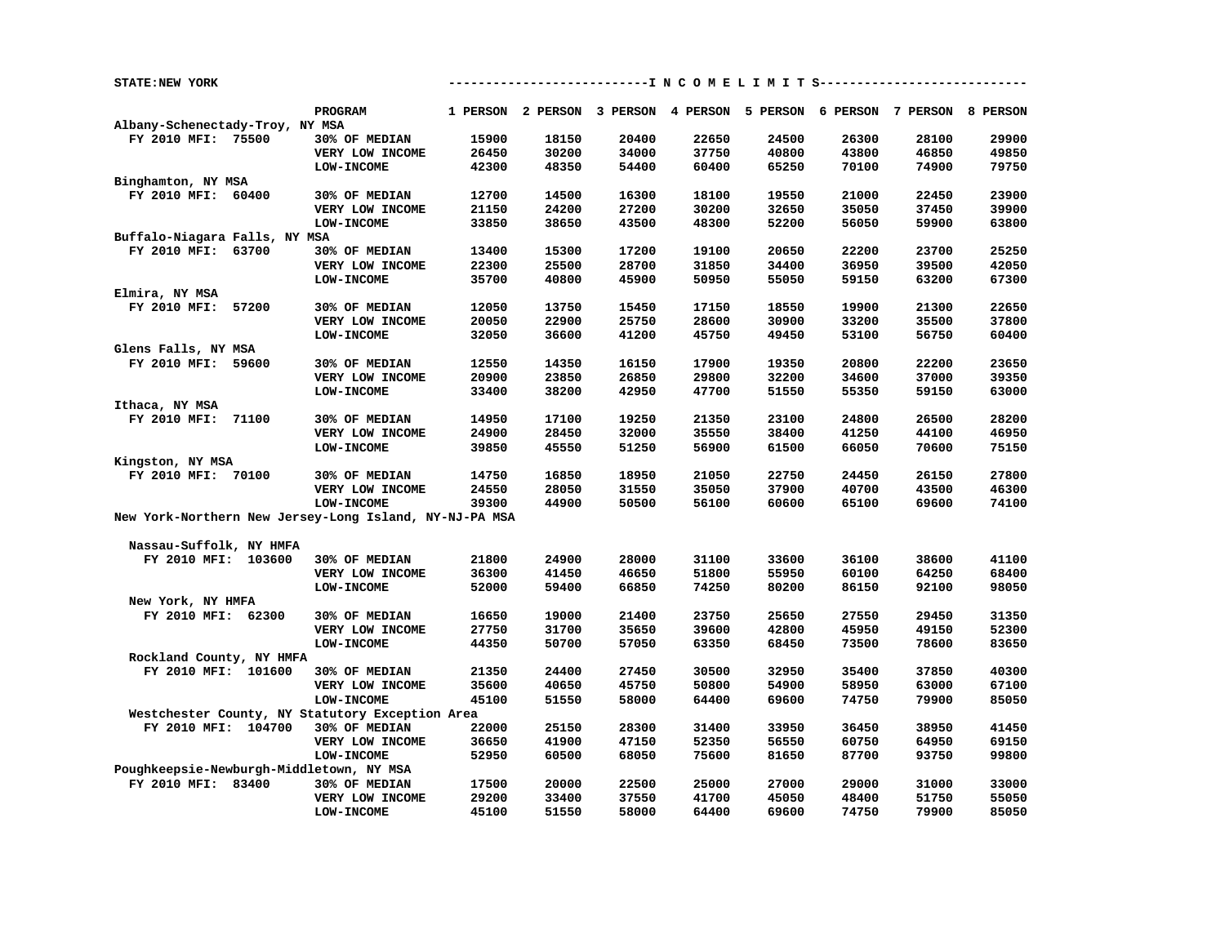| STATE:NEW YORK                                         |                   |       |                                                                         |       | ---------I N C O M E L I M I T S------- |       |       |       |       |
|--------------------------------------------------------|-------------------|-------|-------------------------------------------------------------------------|-------|-----------------------------------------|-------|-------|-------|-------|
|                                                        |                   |       |                                                                         |       |                                         |       |       |       |       |
|                                                        | <b>PROGRAM</b>    |       | 1 PERSON 2 PERSON 3 PERSON 4 PERSON 5 PERSON 6 PERSON 7 PERSON 8 PERSON |       |                                         |       |       |       |       |
| Albany-Schenectady-Troy, NY MSA<br>FY 2010 MFI: 75500  |                   | 15900 | 18150                                                                   | 20400 |                                         | 24500 | 26300 | 28100 | 29900 |
|                                                        | 30% OF MEDIAN     |       |                                                                         |       | 22650                                   |       |       |       |       |
|                                                        | VERY LOW INCOME   | 26450 | 30200                                                                   | 34000 | 37750                                   | 40800 | 43800 | 46850 | 49850 |
|                                                        | LOW-INCOME        | 42300 | 48350                                                                   | 54400 | 60400                                   | 65250 | 70100 | 74900 | 79750 |
| Binghamton, NY MSA                                     |                   |       |                                                                         |       |                                         |       |       |       |       |
| FY 2010 MFI: 60400                                     | 30% OF MEDIAN     | 12700 | 14500                                                                   | 16300 | 18100                                   | 19550 | 21000 | 22450 | 23900 |
|                                                        | VERY LOW INCOME   | 21150 | 24200                                                                   | 27200 | 30200                                   | 32650 | 35050 | 37450 | 39900 |
|                                                        | LOW-INCOME        | 33850 | 38650                                                                   | 43500 | 48300                                   | 52200 | 56050 | 59900 | 63800 |
| Buffalo-Niagara Falls, NY MSA                          |                   |       |                                                                         |       |                                         |       |       |       |       |
| FY 2010 MFI: 63700                                     | 30% OF MEDIAN     | 13400 | 15300                                                                   | 17200 | 19100                                   | 20650 | 22200 | 23700 | 25250 |
|                                                        | VERY LOW INCOME   | 22300 | 25500                                                                   | 28700 | 31850                                   | 34400 | 36950 | 39500 | 42050 |
|                                                        | <b>LOW-INCOME</b> | 35700 | 40800                                                                   | 45900 | 50950                                   | 55050 | 59150 | 63200 | 67300 |
| Elmira, NY MSA                                         |                   |       |                                                                         |       |                                         |       |       |       |       |
| FY 2010 MFI: 57200                                     | 30% OF MEDIAN     | 12050 | 13750                                                                   | 15450 | 17150                                   | 18550 | 19900 | 21300 | 22650 |
|                                                        | VERY LOW INCOME   | 20050 | 22900                                                                   | 25750 | 28600                                   | 30900 | 33200 | 35500 | 37800 |
|                                                        | LOW-INCOME        | 32050 | 36600                                                                   | 41200 | 45750                                   | 49450 | 53100 | 56750 | 60400 |
| Glens Falls, NY MSA                                    |                   |       |                                                                         |       |                                         |       |       |       |       |
| FY 2010 MFI: 59600                                     | 30% OF MEDIAN     | 12550 | 14350                                                                   | 16150 | 17900                                   | 19350 | 20800 | 22200 | 23650 |
|                                                        | VERY LOW INCOME   | 20900 | 23850                                                                   | 26850 | 29800                                   | 32200 | 34600 | 37000 | 39350 |
|                                                        | <b>LOW-INCOME</b> | 33400 | 38200                                                                   | 42950 | 47700                                   | 51550 | 55350 | 59150 | 63000 |
| Ithaca, NY MSA                                         |                   |       |                                                                         |       |                                         |       |       |       |       |
| FY 2010 MFI: 71100                                     | 30% OF MEDIAN     | 14950 | 17100                                                                   | 19250 | 21350                                   | 23100 | 24800 | 26500 | 28200 |
|                                                        | VERY LOW INCOME   | 24900 | 28450                                                                   | 32000 | 35550                                   | 38400 | 41250 | 44100 | 46950 |
|                                                        | <b>LOW-INCOME</b> | 39850 | 45550                                                                   | 51250 | 56900                                   | 61500 | 66050 | 70600 | 75150 |
| Kingston, NY MSA                                       |                   |       |                                                                         |       |                                         |       |       |       |       |
| FY 2010 MFI: 70100                                     | 30% OF MEDIAN     | 14750 | 16850                                                                   | 18950 | 21050                                   | 22750 | 24450 | 26150 | 27800 |
|                                                        | VERY LOW INCOME   | 24550 | 28050                                                                   | 31550 | 35050                                   | 37900 | 40700 | 43500 | 46300 |
|                                                        | LOW-INCOME        | 39300 | 44900                                                                   | 50500 | 56100                                   | 60600 | 65100 | 69600 | 74100 |
| New York-Northern New Jersey-Long Island, NY-NJ-PA MSA |                   |       |                                                                         |       |                                         |       |       |       |       |
|                                                        |                   |       |                                                                         |       |                                         |       |       |       |       |
| Nassau-Suffolk, NY HMFA                                |                   |       |                                                                         |       |                                         |       |       |       |       |
| FY 2010 MFI: 103600                                    | 30% OF MEDIAN     | 21800 | 24900                                                                   | 28000 | 31100                                   | 33600 | 36100 | 38600 | 41100 |
|                                                        | VERY LOW INCOME   | 36300 | 41450                                                                   | 46650 | 51800                                   | 55950 | 60100 | 64250 | 68400 |
|                                                        | <b>LOW-INCOME</b> | 52000 | 59400                                                                   | 66850 | 74250                                   | 80200 | 86150 | 92100 | 98050 |
| New York, NY HMFA                                      |                   |       |                                                                         |       |                                         |       |       |       |       |
| FY 2010 MFI: 62300                                     | 30% OF MEDIAN     | 16650 | 19000                                                                   | 21400 | 23750                                   | 25650 | 27550 | 29450 | 31350 |
|                                                        | VERY LOW INCOME   | 27750 | 31700                                                                   | 35650 | 39600                                   | 42800 | 45950 | 49150 | 52300 |
|                                                        | LOW-INCOME        | 44350 | 50700                                                                   | 57050 | 63350                                   | 68450 | 73500 | 78600 | 83650 |
| Rockland County, NY HMFA                               |                   |       |                                                                         |       |                                         |       |       |       |       |
| FY 2010 MFI: 101600                                    | 30% OF MEDIAN     | 21350 | 24400                                                                   | 27450 | 30500                                   | 32950 | 35400 | 37850 | 40300 |
|                                                        |                   |       |                                                                         | 45750 | 50800                                   | 54900 |       | 63000 | 67100 |
|                                                        | VERY LOW INCOME   | 35600 | 40650                                                                   |       |                                         |       | 58950 |       |       |
|                                                        | LOW-INCOME        | 45100 | 51550                                                                   | 58000 | 64400                                   | 69600 | 74750 | 79900 | 85050 |
| Westchester County, NY Statutory Exception Area        |                   |       |                                                                         |       |                                         |       |       |       |       |
| FY 2010 MFI: 104700                                    | 30% OF MEDIAN     | 22000 | 25150                                                                   | 28300 | 31400                                   | 33950 | 36450 | 38950 | 41450 |
|                                                        | VERY LOW INCOME   | 36650 | 41900                                                                   | 47150 | 52350                                   | 56550 | 60750 | 64950 | 69150 |
|                                                        | <b>LOW-INCOME</b> | 52950 | 60500                                                                   | 68050 | 75600                                   | 81650 | 87700 | 93750 | 99800 |
| Poughkeepsie-Newburgh-Middletown, NY MSA               |                   |       |                                                                         |       |                                         |       |       |       |       |
| FY 2010 MFI: 83400                                     | 30% OF MEDIAN     | 17500 | 20000                                                                   | 22500 | 25000                                   | 27000 | 29000 | 31000 | 33000 |
|                                                        | VERY LOW INCOME   | 29200 | 33400                                                                   | 37550 | 41700                                   | 45050 | 48400 | 51750 | 55050 |
|                                                        | <b>LOW-INCOME</b> | 45100 | 51550                                                                   | 58000 | 64400                                   | 69600 | 74750 | 79900 | 85050 |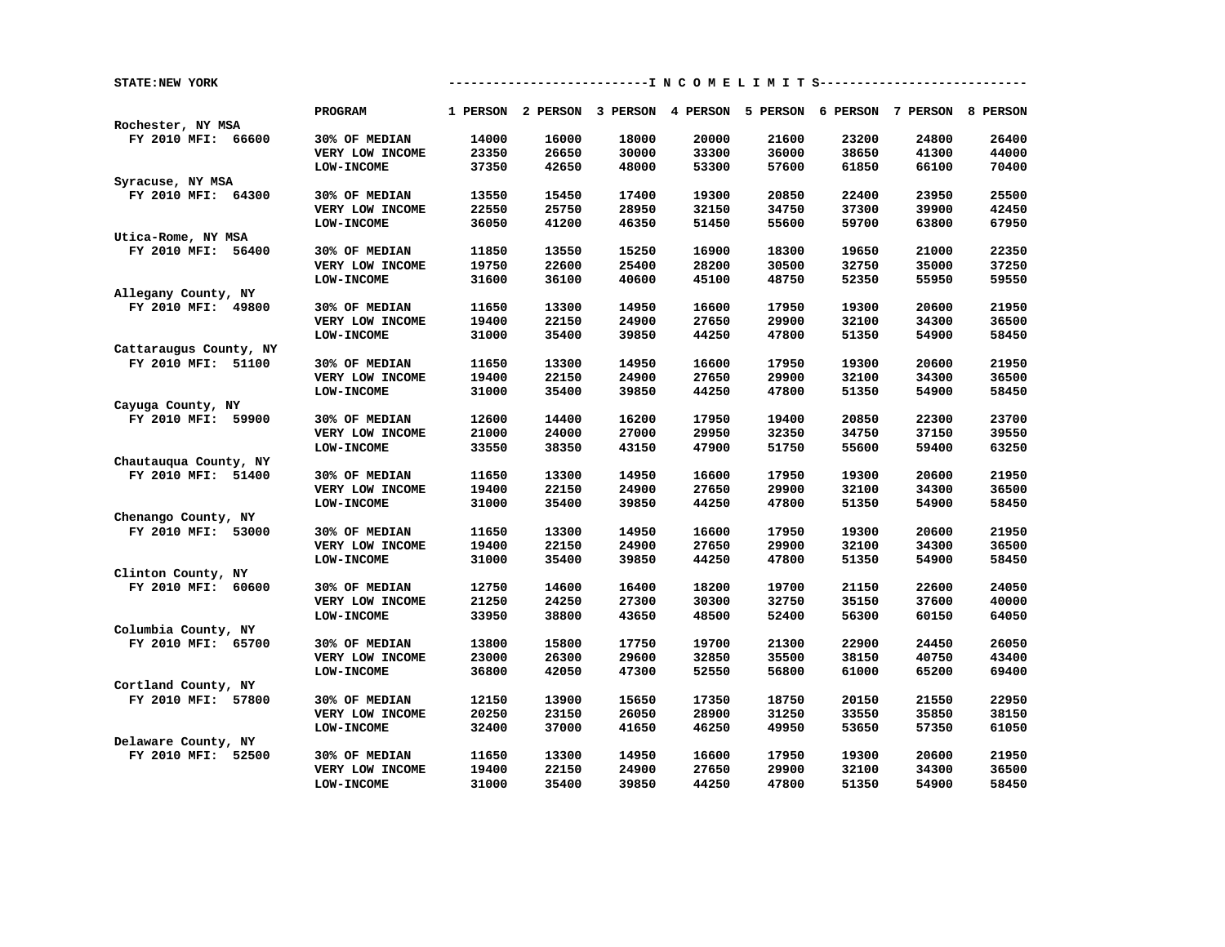| <b>STATE:NEW YORK</b>  |                   |       |       |       |       |       | ----------------I N C O M E L I M I T S-----------------                |       |       |
|------------------------|-------------------|-------|-------|-------|-------|-------|-------------------------------------------------------------------------|-------|-------|
|                        | PROGRAM           |       |       |       |       |       | 1 PERSON 2 PERSON 3 PERSON 4 PERSON 5 PERSON 6 PERSON 7 PERSON 8 PERSON |       |       |
| Rochester, NY MSA      |                   |       |       |       |       |       |                                                                         |       |       |
| FY 2010 MFI: 66600     | 30% OF MEDIAN     | 14000 | 16000 | 18000 | 20000 | 21600 | 23200                                                                   | 24800 | 26400 |
|                        | VERY LOW INCOME   | 23350 | 26650 | 30000 | 33300 | 36000 | 38650                                                                   | 41300 | 44000 |
|                        | <b>LOW-INCOME</b> | 37350 | 42650 | 48000 | 53300 | 57600 | 61850                                                                   | 66100 | 70400 |
| Syracuse, NY MSA       |                   |       |       |       |       |       |                                                                         |       |       |
| FY 2010 MFI: 64300     | 30% OF MEDIAN     | 13550 | 15450 | 17400 | 19300 | 20850 | 22400                                                                   | 23950 | 25500 |
|                        | VERY LOW INCOME   | 22550 | 25750 | 28950 | 32150 | 34750 | 37300                                                                   | 39900 | 42450 |
|                        | <b>LOW-INCOME</b> | 36050 | 41200 | 46350 | 51450 | 55600 | 59700                                                                   | 63800 | 67950 |
| Utica-Rome, NY MSA     |                   |       |       |       |       |       |                                                                         |       |       |
| FY 2010 MFI: 56400     | 30% OF MEDIAN     | 11850 | 13550 | 15250 | 16900 | 18300 | 19650                                                                   | 21000 | 22350 |
|                        | VERY LOW INCOME   | 19750 | 22600 | 25400 | 28200 | 30500 | 32750                                                                   | 35000 | 37250 |
|                        | LOW-INCOME        | 31600 | 36100 | 40600 | 45100 | 48750 | 52350                                                                   | 55950 | 59550 |
| Allegany County, NY    |                   |       |       |       |       |       |                                                                         |       |       |
| FY 2010 MFI: 49800     | 30% OF MEDIAN     | 11650 | 13300 | 14950 | 16600 | 17950 | 19300                                                                   | 20600 | 21950 |
|                        | VERY LOW INCOME   | 19400 | 22150 | 24900 | 27650 | 29900 | 32100                                                                   | 34300 | 36500 |
|                        | <b>LOW-INCOME</b> | 31000 | 35400 | 39850 | 44250 | 47800 | 51350                                                                   | 54900 | 58450 |
| Cattaraugus County, NY |                   |       |       |       |       |       |                                                                         |       |       |
| FY 2010 MFI: 51100     | 30% OF MEDIAN     | 11650 | 13300 | 14950 | 16600 | 17950 | 19300                                                                   | 20600 | 21950 |
|                        | VERY LOW INCOME   | 19400 | 22150 | 24900 | 27650 | 29900 | 32100                                                                   | 34300 | 36500 |
|                        | <b>LOW-INCOME</b> | 31000 | 35400 | 39850 | 44250 | 47800 | 51350                                                                   | 54900 | 58450 |
| Cayuga County, NY      |                   |       |       |       |       |       |                                                                         |       |       |
| FY 2010 MFI: 59900     | 30% OF MEDIAN     | 12600 | 14400 | 16200 | 17950 | 19400 | 20850                                                                   | 22300 | 23700 |
|                        | VERY LOW INCOME   | 21000 | 24000 | 27000 | 29950 | 32350 | 34750                                                                   | 37150 | 39550 |
|                        | <b>LOW-INCOME</b> | 33550 | 38350 | 43150 | 47900 | 51750 | 55600                                                                   | 59400 | 63250 |
| Chautauqua County, NY  |                   |       |       |       |       |       |                                                                         |       |       |
| FY 2010 MFI: 51400     | 30% OF MEDIAN     | 11650 | 13300 | 14950 | 16600 | 17950 | 19300                                                                   | 20600 | 21950 |
|                        |                   | 19400 | 22150 | 24900 | 27650 | 29900 | 32100                                                                   | 34300 | 36500 |
|                        | VERY LOW INCOME   |       |       | 39850 | 44250 | 47800 | 51350                                                                   | 54900 |       |
|                        | LOW-INCOME        | 31000 | 35400 |       |       |       |                                                                         |       | 58450 |
| Chenango County, NY    |                   |       |       |       |       |       |                                                                         |       |       |
| FY 2010 MFI: 53000     | 30% OF MEDIAN     | 11650 | 13300 | 14950 | 16600 | 17950 | 19300                                                                   | 20600 | 21950 |
|                        | VERY LOW INCOME   | 19400 | 22150 | 24900 | 27650 | 29900 | 32100                                                                   | 34300 | 36500 |
|                        | <b>LOW-INCOME</b> | 31000 | 35400 | 39850 | 44250 | 47800 | 51350                                                                   | 54900 | 58450 |
| Clinton County, NY     |                   |       |       |       |       |       |                                                                         |       |       |
| FY 2010 MFI: 60600     | 30% OF MEDIAN     | 12750 | 14600 | 16400 | 18200 | 19700 | 21150                                                                   | 22600 | 24050 |
|                        | VERY LOW INCOME   | 21250 | 24250 | 27300 | 30300 | 32750 | 35150                                                                   | 37600 | 40000 |
|                        | <b>LOW-INCOME</b> | 33950 | 38800 | 43650 | 48500 | 52400 | 56300                                                                   | 60150 | 64050 |
| Columbia County, NY    |                   |       |       |       |       |       |                                                                         |       |       |
| FY 2010 MFI: 65700     | 30% OF MEDIAN     | 13800 | 15800 | 17750 | 19700 | 21300 | 22900                                                                   | 24450 | 26050 |
|                        | VERY LOW INCOME   | 23000 | 26300 | 29600 | 32850 | 35500 | 38150                                                                   | 40750 | 43400 |
|                        | <b>LOW-INCOME</b> | 36800 | 42050 | 47300 | 52550 | 56800 | 61000                                                                   | 65200 | 69400 |
| Cortland County, NY    |                   |       |       |       |       |       |                                                                         |       |       |
| FY 2010 MFI: 57800     | 30% OF MEDIAN     | 12150 | 13900 | 15650 | 17350 | 18750 | 20150                                                                   | 21550 | 22950 |
|                        | VERY LOW INCOME   | 20250 | 23150 | 26050 | 28900 | 31250 | 33550                                                                   | 35850 | 38150 |
|                        | <b>LOW-INCOME</b> | 32400 | 37000 | 41650 | 46250 | 49950 | 53650                                                                   | 57350 | 61050 |
| Delaware County, NY    |                   |       |       |       |       |       |                                                                         |       |       |
| FY 2010 MFI: 52500     | 30% OF MEDIAN     | 11650 | 13300 | 14950 | 16600 | 17950 | 19300                                                                   | 20600 | 21950 |
|                        | VERY LOW INCOME   | 19400 | 22150 | 24900 | 27650 | 29900 | 32100                                                                   | 34300 | 36500 |
|                        | LOW-INCOME        | 31000 | 35400 | 39850 | 44250 | 47800 | 51350                                                                   | 54900 | 58450 |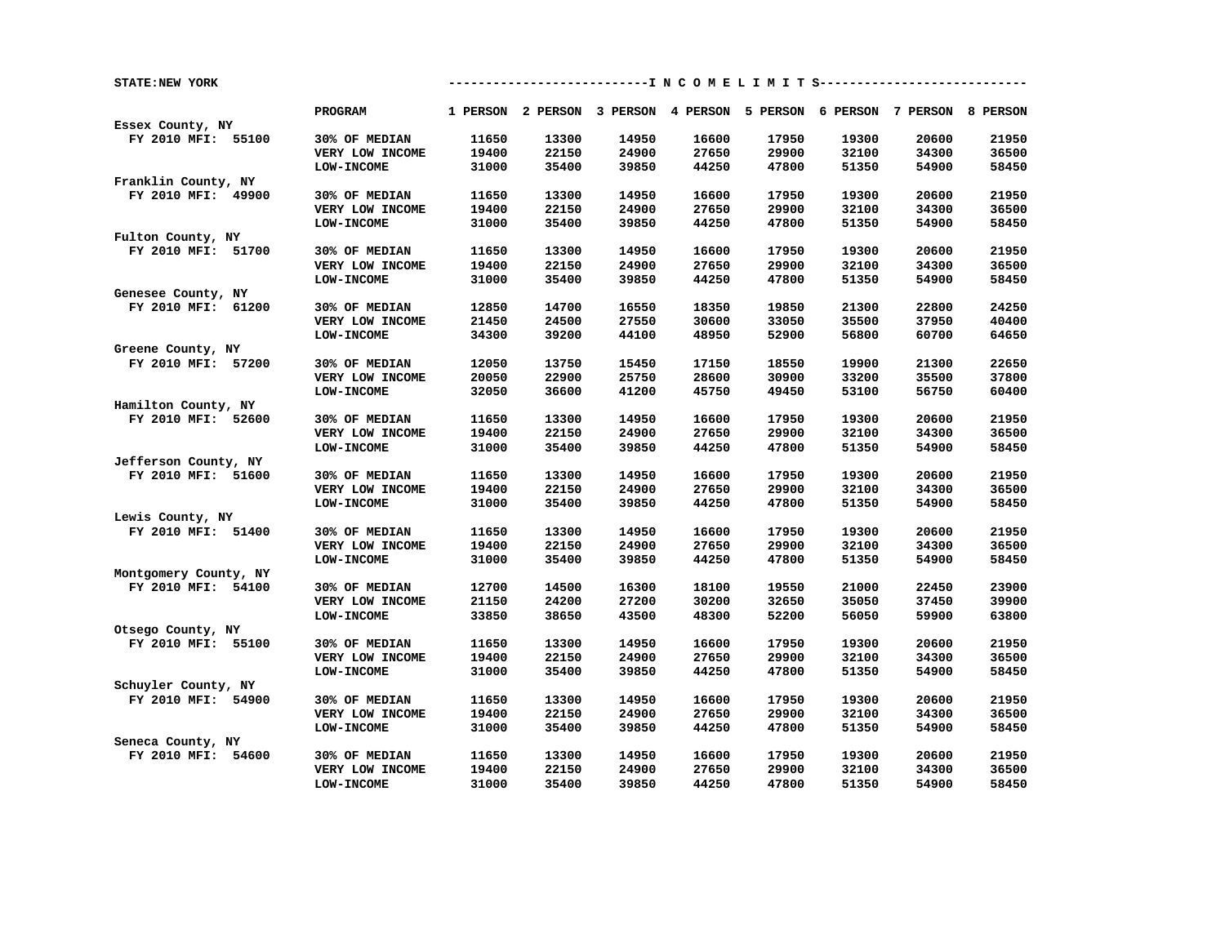| STATE: NEW YORK       |                   | ------------------ N C O M E L I M I T S-------------------- |       |                                                                         |       |       |       |       |       |
|-----------------------|-------------------|--------------------------------------------------------------|-------|-------------------------------------------------------------------------|-------|-------|-------|-------|-------|
|                       | <b>PROGRAM</b>    |                                                              |       | 1 PERSON 2 PERSON 3 PERSON 4 PERSON 5 PERSON 6 PERSON 7 PERSON 8 PERSON |       |       |       |       |       |
| Essex County, NY      |                   |                                                              |       |                                                                         |       |       |       |       |       |
| FY 2010 MFI: 55100    | 30% OF MEDIAN     | 11650                                                        | 13300 | 14950                                                                   | 16600 | 17950 | 19300 | 20600 | 21950 |
|                       | VERY LOW INCOME   | 19400                                                        | 22150 | 24900                                                                   | 27650 | 29900 | 32100 | 34300 | 36500 |
|                       | LOW-INCOME        | 31000                                                        | 35400 | 39850                                                                   | 44250 | 47800 | 51350 | 54900 | 58450 |
| Franklin County, NY   |                   |                                                              |       |                                                                         |       |       |       |       |       |
| FY 2010 MFI: 49900    | 30% OF MEDIAN     | 11650                                                        | 13300 | 14950                                                                   | 16600 | 17950 | 19300 | 20600 | 21950 |
|                       | VERY LOW INCOME   | 19400                                                        | 22150 | 24900                                                                   | 27650 | 29900 | 32100 | 34300 | 36500 |
|                       | <b>LOW-INCOME</b> | 31000                                                        | 35400 | 39850                                                                   | 44250 | 47800 | 51350 | 54900 | 58450 |
| Fulton County, NY     |                   |                                                              |       |                                                                         |       |       |       |       |       |
| FY 2010 MFI: 51700    | 30% OF MEDIAN     | 11650                                                        | 13300 | 14950                                                                   | 16600 | 17950 | 19300 | 20600 | 21950 |
|                       | VERY LOW INCOME   | 19400                                                        | 22150 | 24900                                                                   | 27650 | 29900 | 32100 | 34300 | 36500 |
|                       | <b>LOW-INCOME</b> | 31000                                                        | 35400 | 39850                                                                   | 44250 | 47800 | 51350 | 54900 | 58450 |
| Genesee County, NY    |                   |                                                              |       |                                                                         |       |       |       |       |       |
| FY 2010 MFI: 61200    | 30% OF MEDIAN     | 12850                                                        | 14700 | 16550                                                                   | 18350 | 19850 | 21300 | 22800 | 24250 |
|                       | VERY LOW INCOME   | 21450                                                        | 24500 | 27550                                                                   | 30600 | 33050 | 35500 | 37950 | 40400 |
|                       | <b>LOW-INCOME</b> | 34300                                                        | 39200 | 44100                                                                   | 48950 | 52900 | 56800 | 60700 | 64650 |
| Greene County, NY     |                   |                                                              |       |                                                                         |       |       |       |       |       |
| FY 2010 MFI: 57200    | 30% OF MEDIAN     | 12050                                                        | 13750 | 15450                                                                   | 17150 | 18550 | 19900 | 21300 | 22650 |
|                       | VERY LOW INCOME   | 20050                                                        | 22900 | 25750                                                                   | 28600 | 30900 | 33200 | 35500 | 37800 |
|                       | <b>LOW-INCOME</b> | 32050                                                        | 36600 | 41200                                                                   | 45750 | 49450 | 53100 | 56750 | 60400 |
| Hamilton County, NY   |                   |                                                              |       |                                                                         |       |       |       |       |       |
| FY 2010 MFI: 52600    | 30% OF MEDIAN     | 11650                                                        | 13300 | 14950                                                                   | 16600 | 17950 | 19300 | 20600 | 21950 |
|                       | VERY LOW INCOME   | 19400                                                        | 22150 | 24900                                                                   | 27650 | 29900 | 32100 | 34300 | 36500 |
|                       | <b>LOW-INCOME</b> | 31000                                                        | 35400 | 39850                                                                   | 44250 | 47800 | 51350 | 54900 | 58450 |
| Jefferson County, NY  |                   |                                                              |       |                                                                         |       |       |       |       |       |
| FY 2010 MFI: 51600    | 30% OF MEDIAN     | 11650                                                        | 13300 | 14950                                                                   | 16600 | 17950 | 19300 | 20600 | 21950 |
|                       | VERY LOW INCOME   | 19400                                                        | 22150 | 24900                                                                   | 27650 | 29900 | 32100 | 34300 | 36500 |
|                       | LOW-INCOME        | 31000                                                        | 35400 | 39850                                                                   | 44250 | 47800 | 51350 | 54900 | 58450 |
| Lewis County, NY      |                   |                                                              |       |                                                                         |       |       |       |       |       |
| FY 2010 MFI: 51400    | 30% OF MEDIAN     | 11650                                                        | 13300 | 14950                                                                   | 16600 | 17950 | 19300 | 20600 | 21950 |
|                       | VERY LOW INCOME   | 19400                                                        | 22150 | 24900                                                                   | 27650 | 29900 | 32100 | 34300 | 36500 |
|                       | LOW-INCOME        | 31000                                                        | 35400 | 39850                                                                   | 44250 | 47800 | 51350 | 54900 | 58450 |
| Montgomery County, NY |                   |                                                              |       |                                                                         |       |       |       |       |       |
| FY 2010 MFI: 54100    | 30% OF MEDIAN     | 12700                                                        | 14500 | 16300                                                                   | 18100 | 19550 | 21000 | 22450 | 23900 |
|                       | VERY LOW INCOME   | 21150                                                        | 24200 | 27200                                                                   | 30200 | 32650 | 35050 | 37450 | 39900 |
|                       | LOW-INCOME        | 33850                                                        | 38650 | 43500                                                                   | 48300 | 52200 | 56050 | 59900 | 63800 |
| Otsego County, NY     |                   |                                                              |       |                                                                         |       |       |       |       |       |
| FY 2010 MFI: 55100    | 30% OF MEDIAN     | 11650                                                        | 13300 | 14950                                                                   | 16600 | 17950 | 19300 | 20600 | 21950 |
|                       | VERY LOW INCOME   | 19400                                                        | 22150 | 24900                                                                   | 27650 | 29900 | 32100 | 34300 | 36500 |
|                       | <b>LOW-INCOME</b> | 31000                                                        | 35400 | 39850                                                                   | 44250 | 47800 | 51350 | 54900 | 58450 |
| Schuyler County, NY   |                   |                                                              |       |                                                                         |       |       |       |       |       |
| FY 2010 MFI: 54900    | 30% OF MEDIAN     | 11650                                                        | 13300 | 14950                                                                   | 16600 | 17950 | 19300 | 20600 | 21950 |
|                       | VERY LOW INCOME   | 19400                                                        | 22150 | 24900                                                                   | 27650 | 29900 | 32100 | 34300 | 36500 |
|                       | <b>LOW-INCOME</b> | 31000                                                        | 35400 | 39850                                                                   | 44250 | 47800 | 51350 | 54900 | 58450 |
| Seneca County, NY     |                   |                                                              |       |                                                                         |       |       |       |       |       |
| FY 2010 MFI: 54600    | 30% OF MEDIAN     | 11650                                                        | 13300 | 14950                                                                   | 16600 | 17950 | 19300 | 20600 | 21950 |
|                       | VERY LOW INCOME   | 19400                                                        | 22150 | 24900                                                                   | 27650 | 29900 | 32100 | 34300 | 36500 |
|                       | LOW-INCOME        | 31000                                                        | 35400 | 39850                                                                   | 44250 | 47800 | 51350 | 54900 | 58450 |